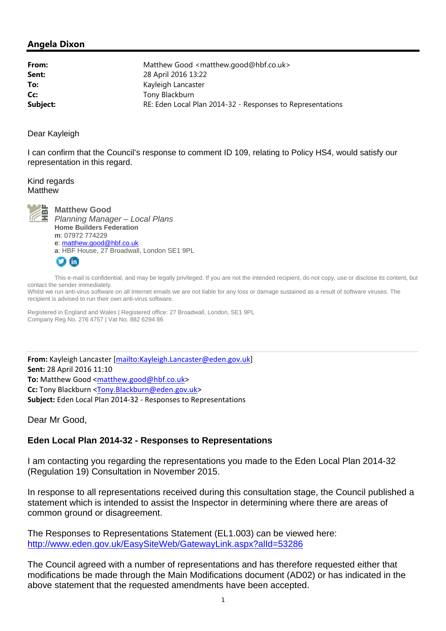## **Angela Dixon**

| From:    | Matthew Good <matthew.good@hbf.co.uk></matthew.good@hbf.co.uk> |
|----------|----------------------------------------------------------------|
| Sent:    | 28 April 2016 13:22                                            |
| To:      | Kayleigh Lancaster                                             |
| Cc:      | Tony Blackburn                                                 |
| Subject: | RE: Eden Local Plan 2014-32 - Responses to Representations     |

Dear Kayleigh

I can confirm that the Council's response to comment ID 109, relating to Policy HS4, would satisfy our representation in this regard.

Kind regards **Matthew** 



**Matthew Good**  *Planning Manager – Local Plans*  **Home Builders Federation m**: 07972 774229 **e**: matthew.good@hbf.co.uk **a**: HBF House, 27 Broadwall, London SE1 9PL ГЛ  $\ln$ 

This e-mail is confidential, and may be legally privileged. If you are not the intended recipient, do not copy, use or disclose its content, but contact the sender immediately.

Whilst we run anti-virus software on all Internet emails we are not liable for any loss or damage sustained as a result of software viruses. The recipient is advised to run their own anti-virus software.

Registered in England and Wales | Registered office: 27 Broadwall, London, SE1 9PL Company Reg No. 276 4757 | Vat No. 882 6294 86

 **From:** Kayleigh Lancaster [mailto:Kayleigh.Lancaster@eden.gov.uk] **Sent:** 28 April 2016 11:10 To: Matthew Good <matthew.good@hbf.co.uk> **Cc:** Tony Blackburn <Tony.Blackburn@eden.gov.uk> **Subject:** Eden Local Plan 2014‐32 ‐ Responses to Representations

Dear Mr Good,

## **Eden Local Plan 2014-32 - Responses to Representations**

I am contacting you regarding the representations you made to the Eden Local Plan 2014-32 (Regulation 19) Consultation in November 2015.

In response to all representations received during this consultation stage, the Council published a statement which is intended to assist the Inspector in determining where there are areas of common ground or disagreement.

The Responses to Representations Statement (EL1.003) can be viewed here: http://www.eden.gov.uk/EasySiteWeb/GatewayLink.aspx?alId=53286

The Council agreed with a number of representations and has therefore requested either that modifications be made through the Main Modifications document (AD02) or has indicated in the above statement that the requested amendments have been accepted.